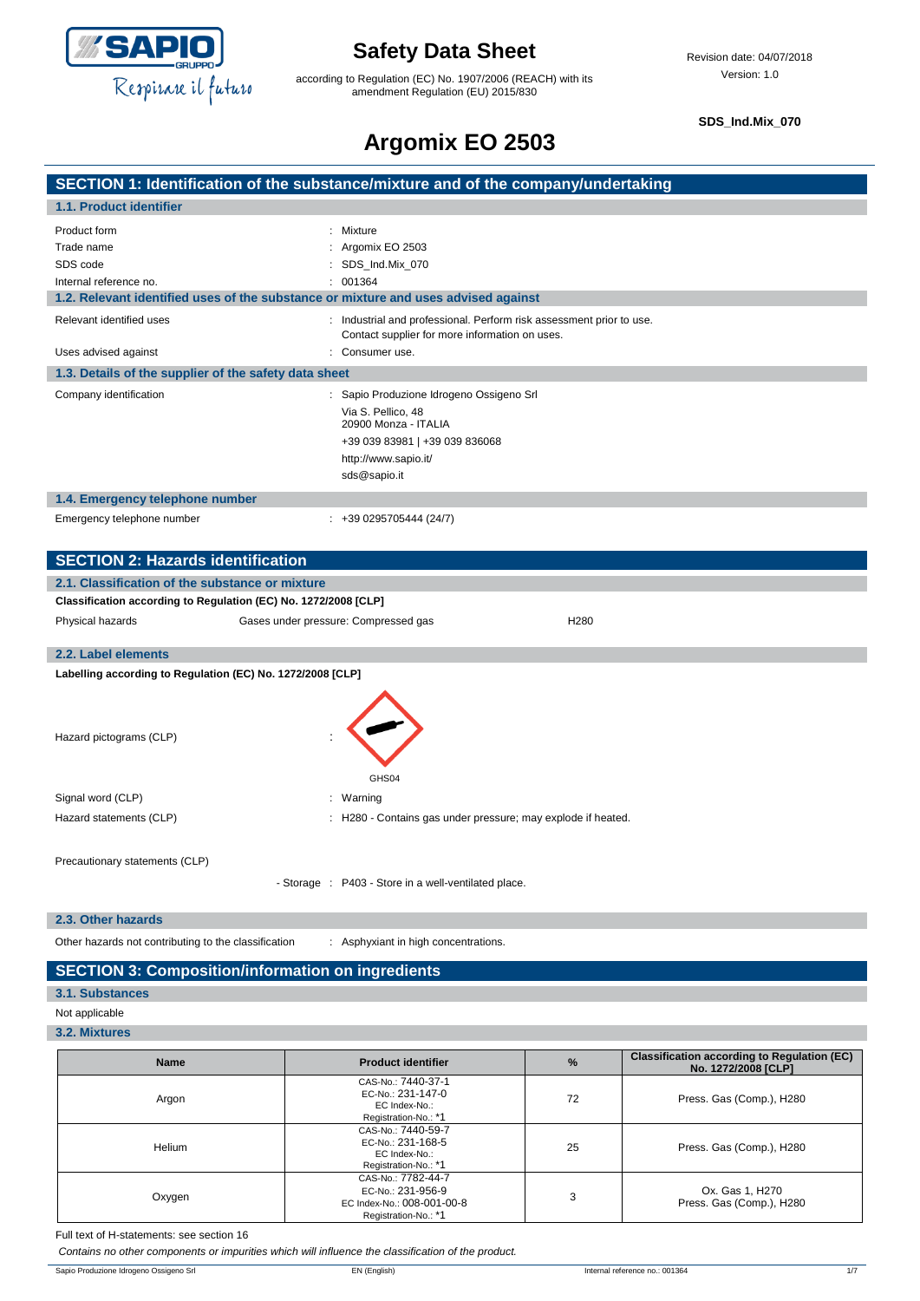

according to Regulation (EC) No. 1907/2006 (REACH) with its amendment Regulation (EU) 2015/830

**SDS\_Ind.Mix\_070**

## **Argomix EO 2503**

### **SECTION 1: Identification of the substance/mixture and of the company/undertaking 1.1. Product identifier** Product form : Mixture Trade name : Argomix EO 2503 SDS code : SDS\_Ind.Mix\_070 Internal reference no. <br>  $\qquad \qquad$  : 001364 **1.2. Relevant identified uses of the substance or mixture and uses advised against** Relevant identified uses : Industrial and professional. Perform risk assessment prior to use. Contact supplier for more information on uses. Uses advised against **intervalsed** and the consumer use. **1.3. Details of the supplier of the safety data sheet** Company identification : Sapio Produzione Idrogeno Ossigeno Srl Via S. Pellico, 48 20900 Monza - ITALIA +39 039 83981 | +39 039 836068 http://www.sapio.it/ sds@sapio.it **1.4. Emergency telephone number** Emergency telephone number : +39 0295705444 (24/7) **SECTION 2: Hazards identification 2.1. Classification of the substance or mixture Classification according to Regulation (EC) No. 1272/2008 [CLP]** Physical hazards Gases under pressure: Compressed gas H280 **2.2. Label elements**

**Labelling according to Regulation (EC) No. 1272/2008 [CLP]**

| Hazard pictograms (CLP)        | GHS04                                                        |
|--------------------------------|--------------------------------------------------------------|
| Signal word (CLP)              | Warning<br>$\mathbb{R}^{\mathbb{Z}}$                         |
| Hazard statements (CLP)        | : H280 - Contains gas under pressure; may explode if heated. |
| Precautionary statements (CLP) | - Storage : P403 - Store in a well-ventilated place.         |

**2.3. Other hazards**

Other hazards not contributing to the classification : Asphyxiant in high concentrations.

### **SECTION 3: Composition/information on ingredients**

#### **3.1. Substances**

- Not applicable
- **3.2. Mixtures**

| <b>Name</b> | <b>Product identifier</b>                                                                     | $\frac{9}{6}$ | <b>Classification according to Regulation (EC)</b><br>No. 1272/2008 [CLP] |
|-------------|-----------------------------------------------------------------------------------------------|---------------|---------------------------------------------------------------------------|
| Argon       | CAS-No.: 7440-37-1<br>EC-No.: 231-147-0<br>EC Index-No.:<br>Registration-No.: *1              | 72            | Press. Gas (Comp.), H280                                                  |
| Helium      | CAS-No.: 7440-59-7<br>EC-No.: 231-168-5<br>EC Index-No.:<br>Registration-No.: *1              | 25            | Press. Gas (Comp.), H280                                                  |
| Oxygen      | CAS-No.: 7782-44-7<br>EC-No.: 231-956-9<br>EC Index-No.: 008-001-00-8<br>Registration-No.: *1 | 3             | Ox. Gas 1, H270<br>Press. Gas (Comp.), H280                               |

Full text of H-statements: see section 16

*Contains no other components or impurities which will influence the classification of the product.*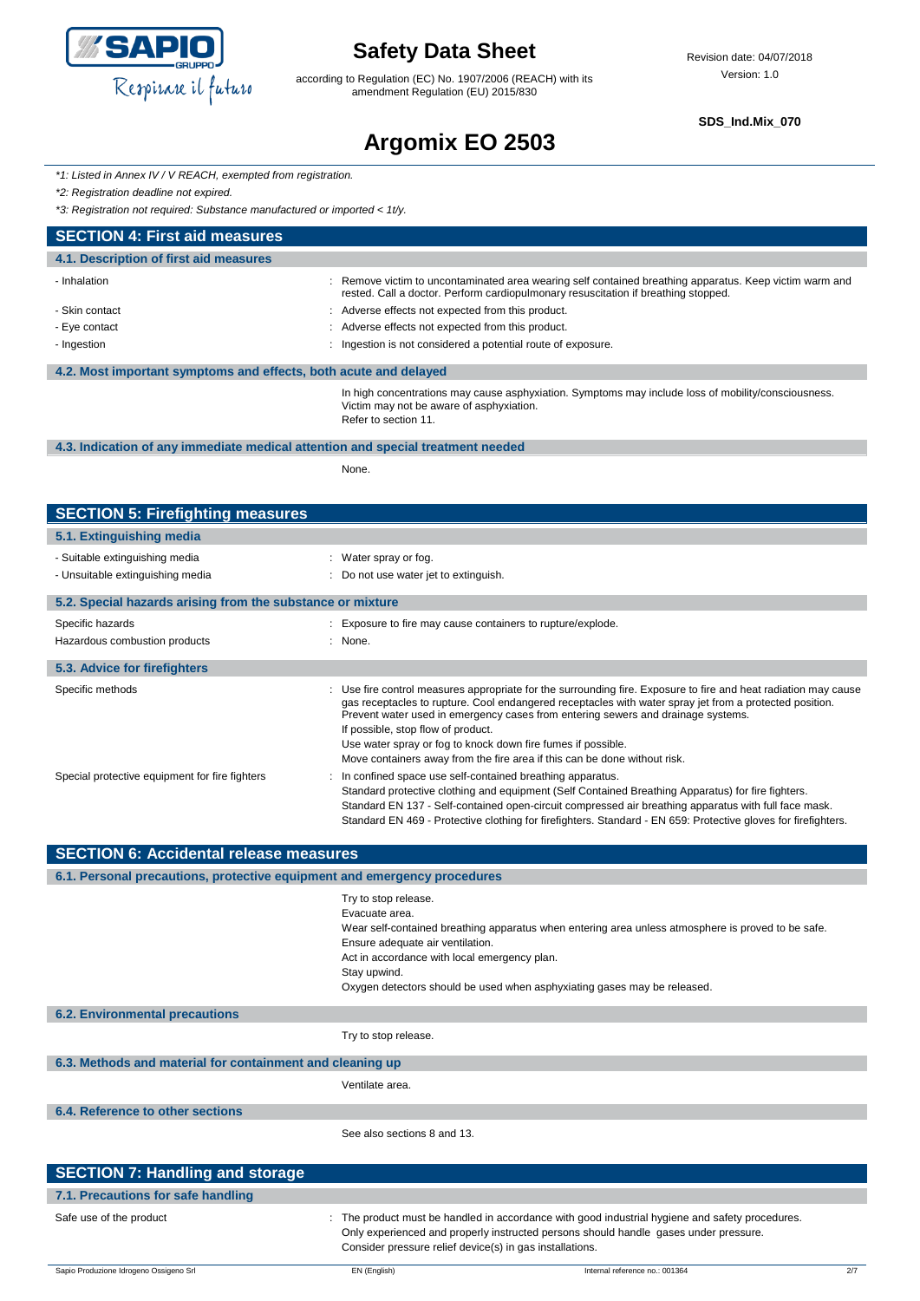

according to Regulation (EC) No. 1907/2006 (REACH) with its amendment Regulation (EU) 2015/830

**SDS\_Ind.Mix\_070**

# **Argomix EO 2503**

|  | *1: Listed in Annex IV / V REACH, exempted from registration. |  |  |  |
|--|---------------------------------------------------------------|--|--|--|
|--|---------------------------------------------------------------|--|--|--|

*\*2: Registration deadline not expired.*

*\*3: Registration not required: Substance manufactured or imported < 1t/y.*

| <b>SECTION 4: First aid measures</b>                             |                                                                                                                                                                                               |  |  |  |
|------------------------------------------------------------------|-----------------------------------------------------------------------------------------------------------------------------------------------------------------------------------------------|--|--|--|
| 4.1. Description of first aid measures                           |                                                                                                                                                                                               |  |  |  |
| - Inhalation                                                     | : Remove victim to uncontaminated area wearing self contained breathing apparatus. Keep victim warm and<br>rested. Call a doctor. Perform cardiopulmonary resuscitation if breathing stopped. |  |  |  |
| - Skin contact                                                   | : Adverse effects not expected from this product.                                                                                                                                             |  |  |  |
| - Eye contact                                                    | : Adverse effects not expected from this product.                                                                                                                                             |  |  |  |
| - Ingestion                                                      | : Ingestion is not considered a potential route of exposure.                                                                                                                                  |  |  |  |
| 4.2. Most important symptoms and effects, both acute and delayed |                                                                                                                                                                                               |  |  |  |
|                                                                  | In high concentrations may cause asphyxiation. Symptoms may include loss of mobility/consciousness.<br>Victim may not be aware of asphyxiation.<br>Refer to section 11.                       |  |  |  |

#### **4.3. Indication of any immediate medical attention and special treatment needed**

None.

| <b>SECTION 5: Firefighting measures</b>                    |                                                                                                                                                                                                                                                                                                                                                                                                                                                                                                   |
|------------------------------------------------------------|---------------------------------------------------------------------------------------------------------------------------------------------------------------------------------------------------------------------------------------------------------------------------------------------------------------------------------------------------------------------------------------------------------------------------------------------------------------------------------------------------|
| 5.1. Extinguishing media                                   |                                                                                                                                                                                                                                                                                                                                                                                                                                                                                                   |
| - Suitable extinguishing media                             | : Water spray or fog.                                                                                                                                                                                                                                                                                                                                                                                                                                                                             |
| - Unsuitable extinguishing media                           | : Do not use water jet to extinguish.                                                                                                                                                                                                                                                                                                                                                                                                                                                             |
| 5.2. Special hazards arising from the substance or mixture |                                                                                                                                                                                                                                                                                                                                                                                                                                                                                                   |
| Specific hazards                                           | : Exposure to fire may cause containers to rupture/explode.                                                                                                                                                                                                                                                                                                                                                                                                                                       |
| Hazardous combustion products                              | : None.                                                                                                                                                                                                                                                                                                                                                                                                                                                                                           |
| 5.3. Advice for firefighters                               |                                                                                                                                                                                                                                                                                                                                                                                                                                                                                                   |
| Specific methods                                           | : Use fire control measures appropriate for the surrounding fire. Exposure to fire and heat radiation may cause<br>gas receptacles to rupture. Cool endangered receptacles with water spray jet from a protected position.<br>Prevent water used in emergency cases from entering sewers and drainage systems.<br>If possible, stop flow of product.<br>Use water spray or fog to knock down fire fumes if possible.<br>Move containers away from the fire area if this can be done without risk. |
| Special protective equipment for fire fighters             | : In confined space use self-contained breathing apparatus.<br>Standard protective clothing and equipment (Self Contained Breathing Apparatus) for fire fighters.<br>Standard EN 137 - Self-contained open-circuit compressed air breathing apparatus with full face mask.<br>Standard EN 469 - Protective clothing for firefighters. Standard - EN 659: Protective gloves for firefighters.                                                                                                      |

| <b>SECTION 6: Accidental release measures</b>                            |                                                                                                                                                                                                                                                                                                                              |  |  |  |
|--------------------------------------------------------------------------|------------------------------------------------------------------------------------------------------------------------------------------------------------------------------------------------------------------------------------------------------------------------------------------------------------------------------|--|--|--|
| 6.1. Personal precautions, protective equipment and emergency procedures |                                                                                                                                                                                                                                                                                                                              |  |  |  |
|                                                                          | Try to stop release.<br>Evacuate area.<br>Wear self-contained breathing apparatus when entering area unless atmosphere is proved to be safe.<br>Ensure adequate air ventilation.<br>Act in accordance with local emergency plan.<br>Stay upwind.<br>Oxygen detectors should be used when asphyxiating gases may be released. |  |  |  |
| <b>6.2. Environmental precautions</b>                                    |                                                                                                                                                                                                                                                                                                                              |  |  |  |
|                                                                          | Try to stop release.                                                                                                                                                                                                                                                                                                         |  |  |  |
| 6.3. Methods and material for containment and cleaning up                |                                                                                                                                                                                                                                                                                                                              |  |  |  |
|                                                                          | Ventilate area.                                                                                                                                                                                                                                                                                                              |  |  |  |
| 6.4. Reference to other sections                                         |                                                                                                                                                                                                                                                                                                                              |  |  |  |
|                                                                          | See also sections 8 and 13.                                                                                                                                                                                                                                                                                                  |  |  |  |
| <b>SECTION 7: Handling and storage</b>                                   |                                                                                                                                                                                                                                                                                                                              |  |  |  |
| 7.1. Precautions for safe handling                                       |                                                                                                                                                                                                                                                                                                                              |  |  |  |

| Safe use of the product | The product must be handled in accordance with good industrial hygiene and safety procedures. |
|-------------------------|-----------------------------------------------------------------------------------------------|
|                         | Only experienced and properly instructed persons should handle gases under pressure.          |
|                         | Consider pressure relief device(s) in gas installations.                                      |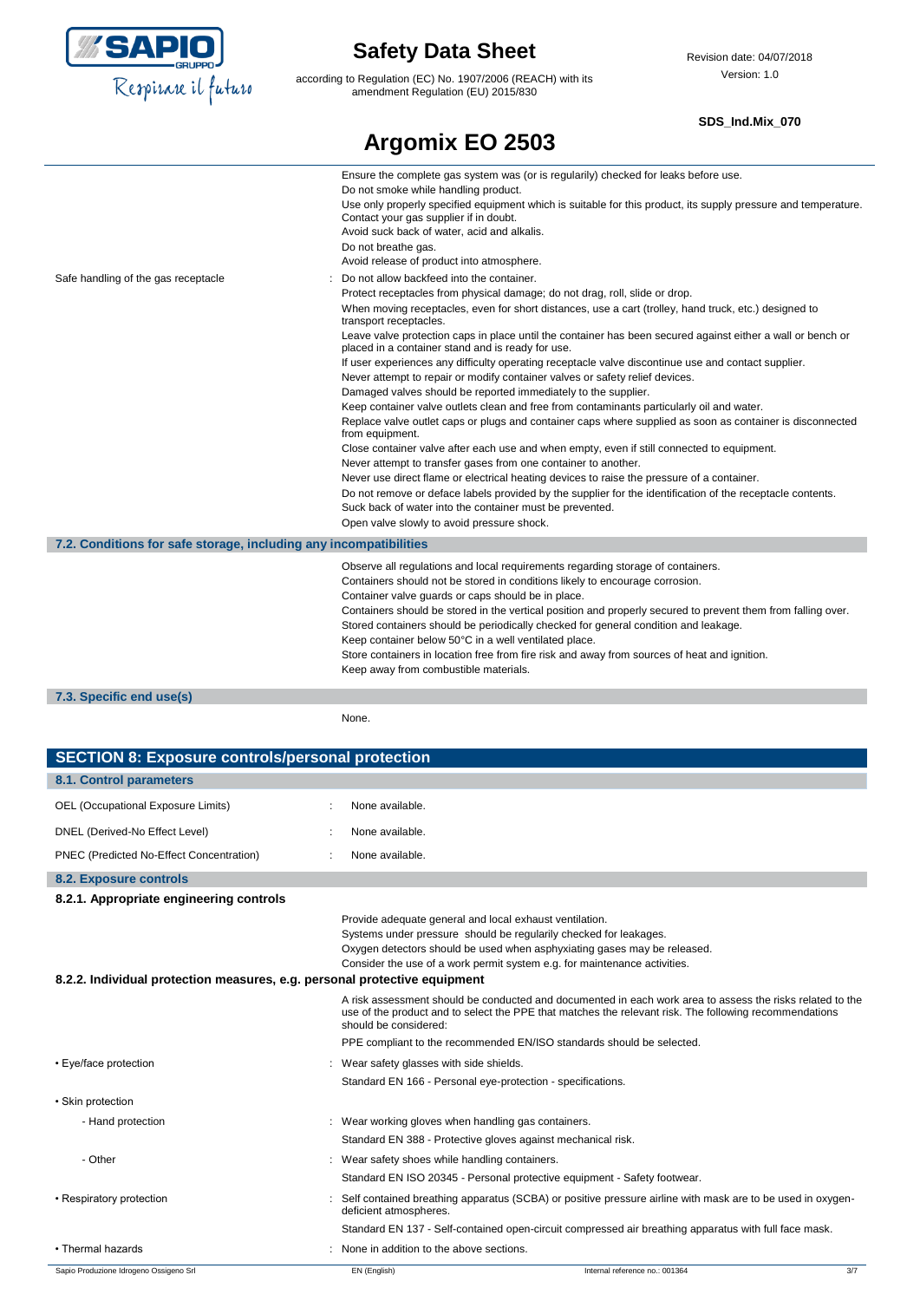

according to Regulation (EC) No. 1907/2006 (REACH) with its amendment Regulation (EU) 2015/830

### **SDS\_Ind.Mix\_070**

|                                                                   | Argomix EO 2503                                                                                                                                                                                                                                                                                                                                                                                                                                                                                                                                                                                                                                                                                                                                                                                                                                                                                                                                                                                                                                                                                                                                                                                                                                                                                                                                                                                             |
|-------------------------------------------------------------------|-------------------------------------------------------------------------------------------------------------------------------------------------------------------------------------------------------------------------------------------------------------------------------------------------------------------------------------------------------------------------------------------------------------------------------------------------------------------------------------------------------------------------------------------------------------------------------------------------------------------------------------------------------------------------------------------------------------------------------------------------------------------------------------------------------------------------------------------------------------------------------------------------------------------------------------------------------------------------------------------------------------------------------------------------------------------------------------------------------------------------------------------------------------------------------------------------------------------------------------------------------------------------------------------------------------------------------------------------------------------------------------------------------------|
|                                                                   | Ensure the complete gas system was (or is regularily) checked for leaks before use.<br>Do not smoke while handling product.<br>Use only properly specified equipment which is suitable for this product, its supply pressure and temperature.<br>Contact your gas supplier if in doubt.<br>Avoid suck back of water, acid and alkalis.<br>Do not breathe gas.<br>Avoid release of product into atmosphere.                                                                                                                                                                                                                                                                                                                                                                                                                                                                                                                                                                                                                                                                                                                                                                                                                                                                                                                                                                                                  |
| Safe handling of the gas receptacle                               | Do not allow backfeed into the container.<br>Protect receptacles from physical damage; do not drag, roll, slide or drop.<br>When moving receptacles, even for short distances, use a cart (trolley, hand truck, etc.) designed to<br>transport receptacles.<br>Leave valve protection caps in place until the container has been secured against either a wall or bench or<br>placed in a container stand and is ready for use.<br>If user experiences any difficulty operating receptacle valve discontinue use and contact supplier.<br>Never attempt to repair or modify container valves or safety relief devices.<br>Damaged valves should be reported immediately to the supplier.<br>Keep container valve outlets clean and free from contaminants particularly oil and water.<br>Replace valve outlet caps or plugs and container caps where supplied as soon as container is disconnected<br>from equipment.<br>Close container valve after each use and when empty, even if still connected to equipment.<br>Never attempt to transfer gases from one container to another.<br>Never use direct flame or electrical heating devices to raise the pressure of a container.<br>Do not remove or deface labels provided by the supplier for the identification of the receptacle contents.<br>Suck back of water into the container must be prevented.<br>Open valve slowly to avoid pressure shock. |
| 7.2. Conditions for safe storage, including any incompatibilities |                                                                                                                                                                                                                                                                                                                                                                                                                                                                                                                                                                                                                                                                                                                                                                                                                                                                                                                                                                                                                                                                                                                                                                                                                                                                                                                                                                                                             |
|                                                                   | Observe all regulations and local requirements regarding storage of containers.<br>Containers should not be stored in conditions likely to encourage corrosion.<br>Container valve guards or caps should be in place.<br>Containers should be stored in the vertical position and properly secured to prevent them from falling over.<br>Stored containers should be periodically checked for general condition and leakage.<br>Keep container below 50°C in a well ventilated place.<br>Store containers in location free from fire risk and away from sources of heat and ignition.<br>Keep away from combustible materials.                                                                                                                                                                                                                                                                                                                                                                                                                                                                                                                                                                                                                                                                                                                                                                              |

**7.3. Specific end use(s)**

None.

| <b>SECTION 8: Exposure controls/personal protection</b>                   |                                                     |                                                                                                                                                                                                                                                                                       |  |
|---------------------------------------------------------------------------|-----------------------------------------------------|---------------------------------------------------------------------------------------------------------------------------------------------------------------------------------------------------------------------------------------------------------------------------------------|--|
| 8.1. Control parameters                                                   |                                                     |                                                                                                                                                                                                                                                                                       |  |
| OEL (Occupational Exposure Limits)                                        | None available.                                     |                                                                                                                                                                                                                                                                                       |  |
| DNEL (Derived-No Effect Level)                                            | None available.                                     |                                                                                                                                                                                                                                                                                       |  |
| PNEC (Predicted No-Effect Concentration)                                  | None available.                                     |                                                                                                                                                                                                                                                                                       |  |
| <b>8.2. Exposure controls</b>                                             |                                                     |                                                                                                                                                                                                                                                                                       |  |
| 8.2.1. Appropriate engineering controls                                   |                                                     |                                                                                                                                                                                                                                                                                       |  |
| 8.2.2. Individual protection measures, e.g. personal protective equipment |                                                     | Provide adequate general and local exhaust ventilation.<br>Systems under pressure should be regularily checked for leakages.<br>Oxygen detectors should be used when asphyxiating gases may be released.<br>Consider the use of a work permit system e.g. for maintenance activities. |  |
|                                                                           | should be considered:                               | A risk assessment should be conducted and documented in each work area to assess the risks related to the<br>use of the product and to select the PPE that matches the relevant risk. The following recommendations                                                                   |  |
|                                                                           |                                                     | PPE compliant to the recommended EN/ISO standards should be selected.                                                                                                                                                                                                                 |  |
| • Eye/face protection                                                     | Wear safety glasses with side shields.              |                                                                                                                                                                                                                                                                                       |  |
|                                                                           |                                                     | Standard EN 166 - Personal eye-protection - specifications.                                                                                                                                                                                                                           |  |
| • Skin protection                                                         |                                                     |                                                                                                                                                                                                                                                                                       |  |
| - Hand protection                                                         | : Wear working gloves when handling gas containers. |                                                                                                                                                                                                                                                                                       |  |
|                                                                           |                                                     | Standard EN 388 - Protective gloves against mechanical risk.                                                                                                                                                                                                                          |  |
| - Other                                                                   | : Wear safety shoes while handling containers.      |                                                                                                                                                                                                                                                                                       |  |
|                                                                           |                                                     | Standard EN ISO 20345 - Personal protective equipment - Safety footwear.                                                                                                                                                                                                              |  |
| • Respiratory protection                                                  | deficient atmospheres.                              | Self contained breathing apparatus (SCBA) or positive pressure airline with mask are to be used in oxygen-                                                                                                                                                                            |  |
|                                                                           |                                                     | Standard EN 137 - Self-contained open-circuit compressed air breathing apparatus with full face mask.                                                                                                                                                                                 |  |
| • Thermal hazards                                                         | None in addition to the above sections.             |                                                                                                                                                                                                                                                                                       |  |
| Sapio Produzione Idrogeno Ossigeno Srl                                    | EN (English)                                        | Internal reference no.: 001364<br>3/7                                                                                                                                                                                                                                                 |  |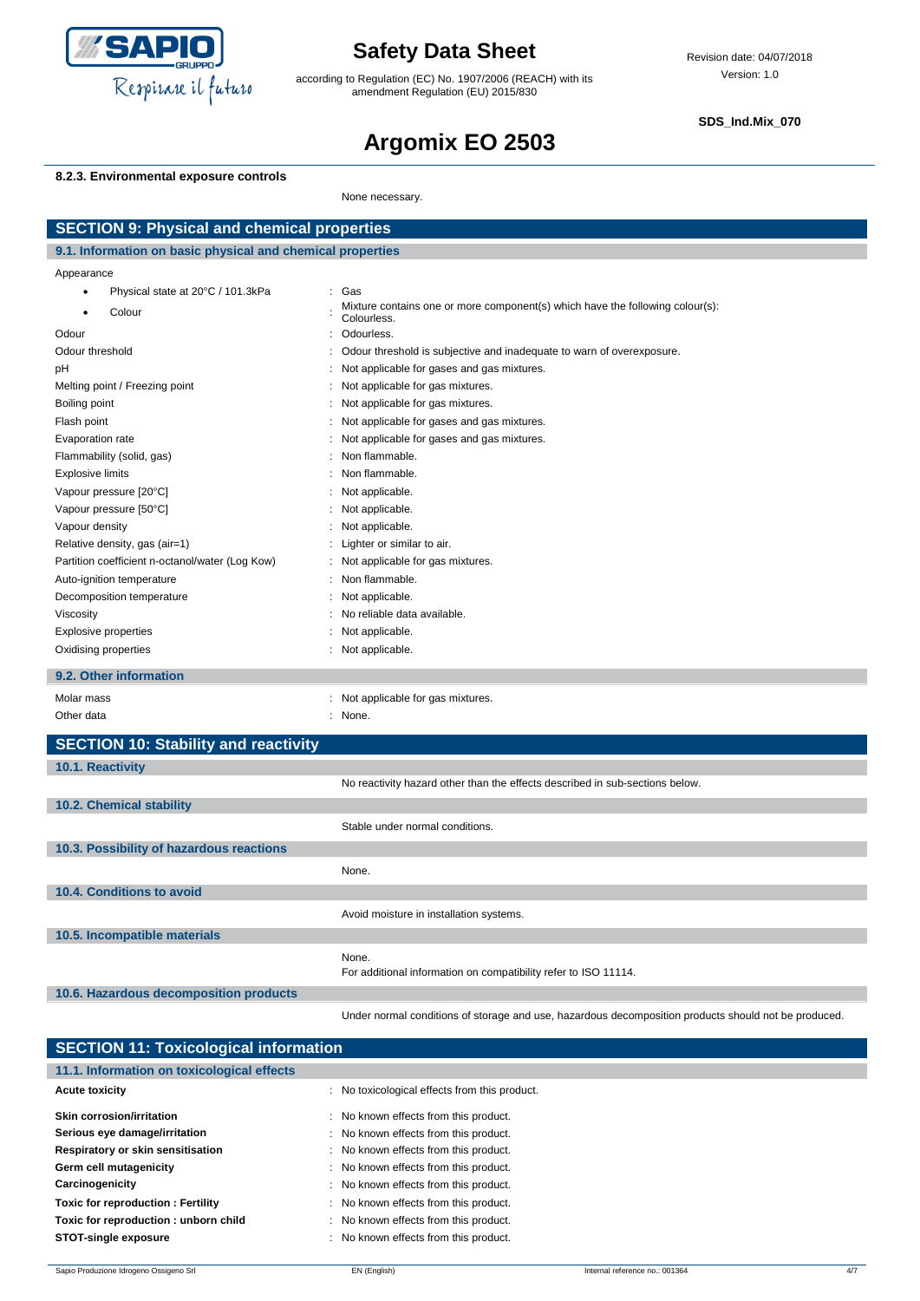

according to Regulation (EC) No. 1907/2006 (REACH) with its amendment Regulation (EU) 2015/830

**SDS\_Ind.Mix\_070**

# **Argomix EO 2503**

### **8.2.3. Environmental exposure controls**

None necessary.

| <b>SECTION 9: Physical and chemical properties</b>         |                                                                                                      |  |
|------------------------------------------------------------|------------------------------------------------------------------------------------------------------|--|
| 9.1. Information on basic physical and chemical properties |                                                                                                      |  |
| Appearance                                                 |                                                                                                      |  |
| Physical state at 20°C / 101.3kPa<br>$\bullet$             | Gas<br>$\ddot{\phantom{a}}$                                                                          |  |
| Colour<br>٠                                                | Mixture contains one or more component(s) which have the following colour(s):<br>Colourless.         |  |
| Odour                                                      | Odourless.<br>$\ddot{\phantom{a}}$                                                                   |  |
| Odour threshold                                            | Odour threshold is subjective and inadequate to warn of overexposure.                                |  |
| pH                                                         | Not applicable for gases and gas mixtures.<br>÷                                                      |  |
| Melting point / Freezing point                             | Not applicable for gas mixtures.<br>$\ddot{\phantom{a}}$                                             |  |
| Boiling point                                              | Not applicable for gas mixtures.                                                                     |  |
| Flash point                                                | Not applicable for gases and gas mixtures.                                                           |  |
| Evaporation rate                                           | Not applicable for gases and gas mixtures.                                                           |  |
| Flammability (solid, gas)                                  | Non flammable.                                                                                       |  |
| <b>Explosive limits</b>                                    | Non flammable.                                                                                       |  |
| Vapour pressure [20°C]                                     | Not applicable.                                                                                      |  |
| Vapour pressure [50°C]                                     | Not applicable.                                                                                      |  |
| Vapour density                                             | Not applicable.                                                                                      |  |
| Relative density, gas (air=1)                              | Lighter or similar to air.                                                                           |  |
| Partition coefficient n-octanol/water (Log Kow)            | Not applicable for gas mixtures.                                                                     |  |
| Auto-ignition temperature                                  | Non flammable.                                                                                       |  |
| Decomposition temperature                                  | Not applicable.                                                                                      |  |
| Viscosity                                                  | No reliable data available.                                                                          |  |
| <b>Explosive properties</b>                                | Not applicable.                                                                                      |  |
| Oxidising properties                                       | Not applicable.                                                                                      |  |
| 9.2. Other information                                     |                                                                                                      |  |
| Molar mass                                                 | : Not applicable for gas mixtures.                                                                   |  |
| Other data                                                 | : None.                                                                                              |  |
| <b>SECTION 10: Stability and reactivity</b>                |                                                                                                      |  |
| 10.1. Reactivity                                           |                                                                                                      |  |
|                                                            | No reactivity hazard other than the effects described in sub-sections below.                         |  |
| 10.2. Chemical stability                                   |                                                                                                      |  |
|                                                            | Stable under normal conditions.                                                                      |  |
| 10.3. Possibility of hazardous reactions                   |                                                                                                      |  |
|                                                            | None.                                                                                                |  |
|                                                            |                                                                                                      |  |
| 10.4. Conditions to avoid                                  |                                                                                                      |  |
|                                                            | Avoid moisture in installation systems.                                                              |  |
| 10.5. Incompatible materials                               |                                                                                                      |  |
|                                                            | None.                                                                                                |  |
|                                                            | For additional information on compatibility refer to ISO 11114.                                      |  |
| 10.6. Hazardous decomposition products                     |                                                                                                      |  |
|                                                            | Under normal conditions of storage and use, hazardous decomposition products should not be produced. |  |

| <b>SECTION 11: Toxicological information</b>  |  |  |  |  |
|-----------------------------------------------|--|--|--|--|
|                                               |  |  |  |  |
| : No toxicological effects from this product. |  |  |  |  |
| : No known effects from this product.         |  |  |  |  |
| : No known effects from this product.         |  |  |  |  |
| : No known effects from this product.         |  |  |  |  |
| : No known effects from this product.         |  |  |  |  |
| : No known effects from this product.         |  |  |  |  |
| : No known effects from this product.         |  |  |  |  |
| : No known effects from this product.         |  |  |  |  |
| : No known effects from this product.         |  |  |  |  |
|                                               |  |  |  |  |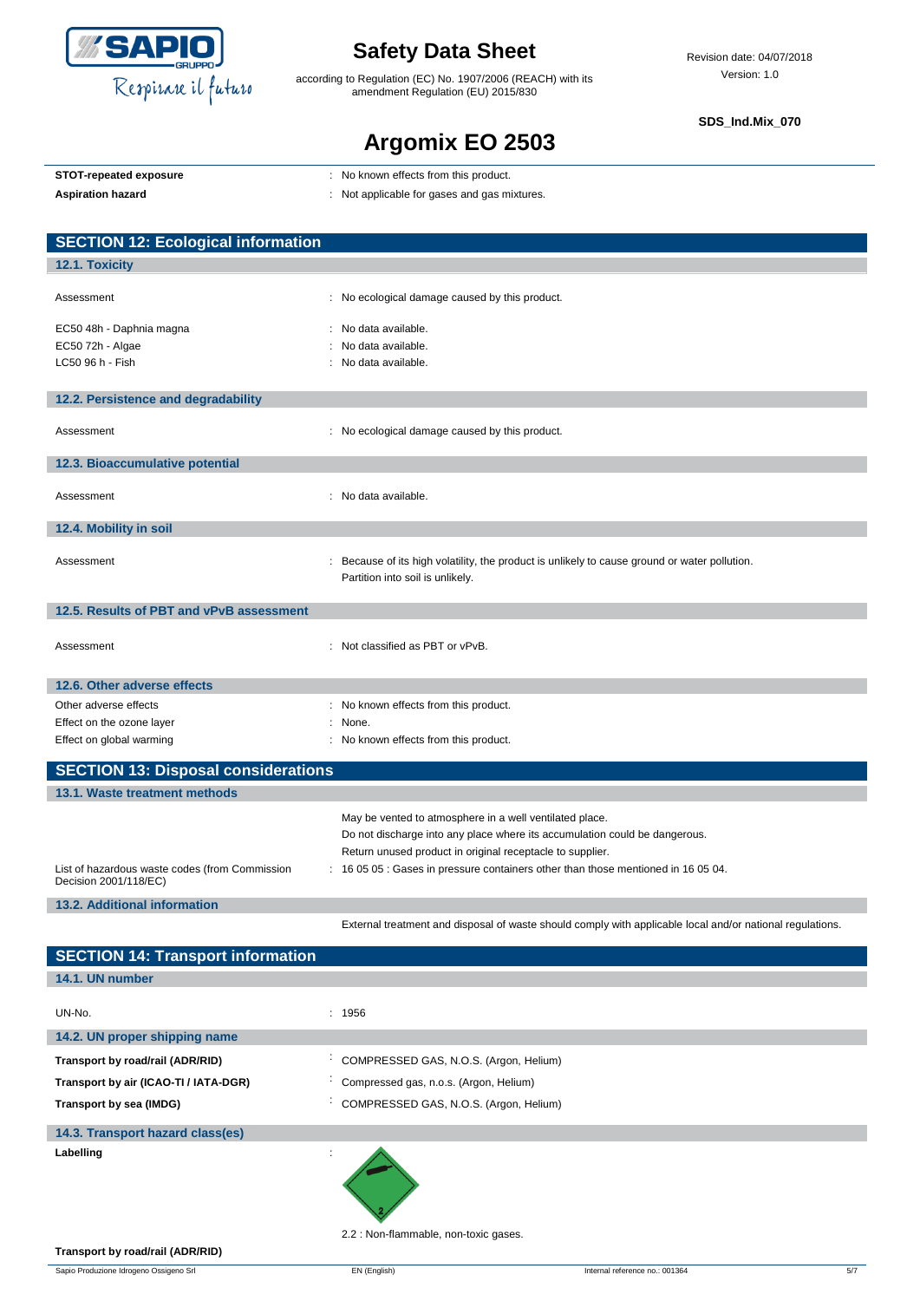

according to Regulation (EC) No. 1907/2006 (REACH) with its amendment Regulation (EU) 2015/830

**SDS\_Ind.Mix\_070**

## **Argomix EO 2503**

| STOT-repeated exposure  |  |
|-------------------------|--|
| A colorado e localizado |  |

- **STOT-repeated exposure** : No known effects from this product.
- Aspiration hazard<br> **Aspiration hazard in the set of the set of the set of the set of the set of the set of the set of the set of the set of the set of the set of the set of the set of the set of the set of the set of the**

| <b>SECTION 12: Ecological information</b>                               |                                                                                                                                 |
|-------------------------------------------------------------------------|---------------------------------------------------------------------------------------------------------------------------------|
| 12.1. Toxicity                                                          |                                                                                                                                 |
|                                                                         |                                                                                                                                 |
| Assessment                                                              | : No ecological damage caused by this product.                                                                                  |
| EC50 48h - Daphnia magna                                                | : No data available.                                                                                                            |
| EC50 72h - Algae                                                        | No data available.                                                                                                              |
| LC50 96 h - Fish                                                        | No data available.                                                                                                              |
| 12.2. Persistence and degradability                                     |                                                                                                                                 |
| Assessment                                                              | : No ecological damage caused by this product.                                                                                  |
|                                                                         |                                                                                                                                 |
| 12.3. Bioaccumulative potential                                         |                                                                                                                                 |
| Assessment                                                              | : No data available.                                                                                                            |
|                                                                         |                                                                                                                                 |
| 12.4. Mobility in soil                                                  |                                                                                                                                 |
| Assessment                                                              | Because of its high volatility, the product is unlikely to cause ground or water pollution.<br>Partition into soil is unlikely. |
| 12.5. Results of PBT and vPvB assessment                                |                                                                                                                                 |
| Assessment                                                              | : Not classified as PBT or vPvB.                                                                                                |
| 12.6. Other adverse effects                                             |                                                                                                                                 |
| Other adverse effects                                                   | : No known effects from this product.                                                                                           |
| Effect on the ozone layer                                               | None.                                                                                                                           |
| Effect on global warming                                                | No known effects from this product.                                                                                             |
| <b>SECTION 13: Disposal considerations</b>                              |                                                                                                                                 |
| 13.1. Waste treatment methods                                           |                                                                                                                                 |
|                                                                         | May be vented to atmosphere in a well ventilated place.                                                                         |
|                                                                         | Do not discharge into any place where its accumulation could be dangerous.                                                      |
|                                                                         | Return unused product in original receptacle to supplier.                                                                       |
| List of hazardous waste codes (from Commission<br>Decision 2001/118/EC) | : 16 05 05 : Gases in pressure containers other than those mentioned in 16 05 04.                                               |

**13.2. Additional information**

**SECTION 4:** 

External treatment and disposal of waste should comply with applicable local and/or national regulations.

| <b>SEUTION 14: Transport Information</b> |                                        |
|------------------------------------------|----------------------------------------|
| 14.1. UN number                          |                                        |
|                                          |                                        |
| UN-No.                                   | : 1956                                 |
| 14.2. UN proper shipping name            |                                        |
| Transport by road/rail (ADR/RID)         | COMPRESSED GAS, N.O.S. (Argon, Helium) |
| Transport by air (ICAO-TI / IATA-DGR)    | Compressed gas, n.o.s. (Argon, Helium) |
| Transport by sea (IMDG)                  | COMPRESSED GAS, N.O.S. (Argon, Helium) |
| 14.3. Transport hazard class(es)         |                                        |
| Labelling                                |                                        |

2.2 : Non-flammable, non-toxic gases.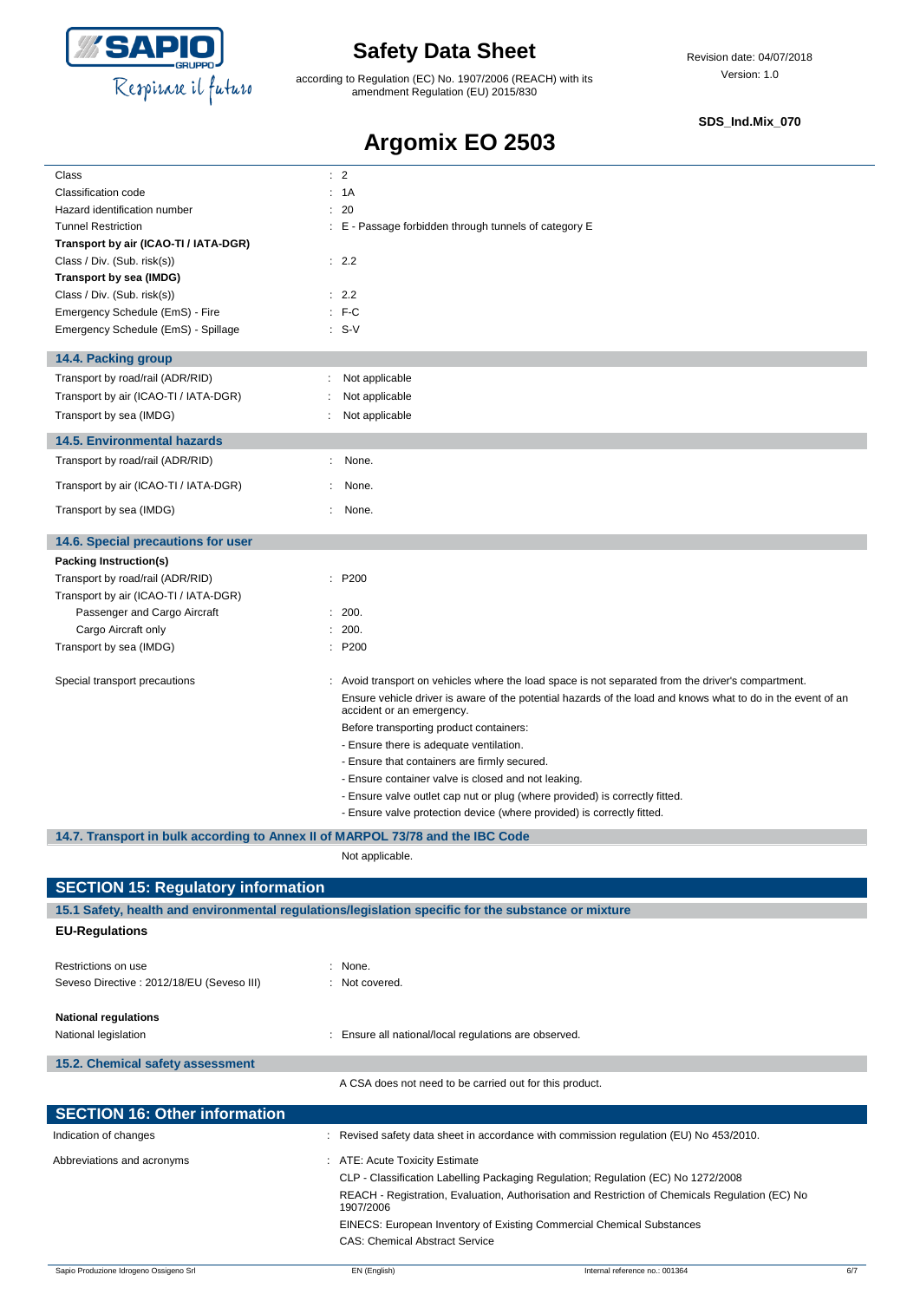

according to Regulation (EC) No. 1907/2006 (REACH) with its amendment Regulation (EU) 2015/830

### **SDS\_Ind.Mix\_070**

## **Argomix EO 2503**

| Class                                                                          |    | : 2                                                                                                                                      |
|--------------------------------------------------------------------------------|----|------------------------------------------------------------------------------------------------------------------------------------------|
| Classification code                                                            |    | : 1A                                                                                                                                     |
| Hazard identification number                                                   | ÷  | 20                                                                                                                                       |
| <b>Tunnel Restriction</b>                                                      |    | : E - Passage forbidden through tunnels of category E                                                                                    |
| Transport by air (ICAO-TI / IATA-DGR)                                          |    |                                                                                                                                          |
| Class / Div. (Sub. risk(s))                                                    |    | : 2.2                                                                                                                                    |
| Transport by sea (IMDG)                                                        |    |                                                                                                                                          |
| Class / Div. (Sub. risk(s))                                                    |    | : 2.2                                                                                                                                    |
| Emergency Schedule (EmS) - Fire                                                |    | $:$ F-C                                                                                                                                  |
| Emergency Schedule (EmS) - Spillage                                            |    | $: S-V$                                                                                                                                  |
| 14.4. Packing group                                                            |    |                                                                                                                                          |
| Transport by road/rail (ADR/RID)                                               | ÷  | Not applicable                                                                                                                           |
| Transport by air (ICAO-TI / IATA-DGR)                                          |    | Not applicable                                                                                                                           |
| Transport by sea (IMDG)                                                        |    | Not applicable                                                                                                                           |
| <b>14.5. Environmental hazards</b>                                             |    |                                                                                                                                          |
| Transport by road/rail (ADR/RID)                                               |    | None.                                                                                                                                    |
| Transport by air (ICAO-TI / IATA-DGR)                                          |    | None.                                                                                                                                    |
| Transport by sea (IMDG)                                                        | ÷. | None.                                                                                                                                    |
| 14.6. Special precautions for user                                             |    |                                                                                                                                          |
| Packing Instruction(s)                                                         |    |                                                                                                                                          |
| Transport by road/rail (ADR/RID)                                               |    | : P200                                                                                                                                   |
| Transport by air (ICAO-TI / IATA-DGR)                                          |    |                                                                                                                                          |
| Passenger and Cargo Aircraft                                                   |    | 200.                                                                                                                                     |
| Cargo Aircraft only                                                            |    | : 200.                                                                                                                                   |
| Transport by sea (IMDG)                                                        |    | : P200                                                                                                                                   |
| Special transport precautions                                                  |    | : Avoid transport on vehicles where the load space is not separated from the driver's compartment.                                       |
|                                                                                |    | Ensure vehicle driver is aware of the potential hazards of the load and knows what to do in the event of an<br>accident or an emergency. |
|                                                                                |    | Before transporting product containers:                                                                                                  |
|                                                                                |    | - Ensure there is adequate ventilation.                                                                                                  |
|                                                                                |    | - Ensure that containers are firmly secured.                                                                                             |
|                                                                                |    | - Ensure container valve is closed and not leaking.                                                                                      |
|                                                                                |    | - Ensure valve outlet cap nut or plug (where provided) is correctly fitted.                                                              |
|                                                                                |    | - Ensure valve protection device (where provided) is correctly fitted.                                                                   |
| 14.7. Transport in bulk according to Annex II of MARPOL 73/78 and the IBC Code |    |                                                                                                                                          |
|                                                                                |    | Not applicable.                                                                                                                          |
| <b>SECTION 15: Regulatory information</b>                                      |    |                                                                                                                                          |
|                                                                                |    | 15.1 Safety, health and environmental regulations/legislation specific for the substance or mixture                                      |
| <b>EU-Regulations</b>                                                          |    |                                                                                                                                          |
| Restrictions on use                                                            |    | : None.                                                                                                                                  |
| Seveso Directive : 2012/18/EU (Seveso III)                                     |    | : Not covered.                                                                                                                           |
| <b>National regulations</b><br>National legislation                            |    | : Ensure all national/local regulations are observed.                                                                                    |
|                                                                                |    |                                                                                                                                          |

| A CSA does not need to be carried out for this product. |  |                                                                                                              |  |  |
|---------------------------------------------------------|--|--------------------------------------------------------------------------------------------------------------|--|--|
| <b>SECTION 16: Other information</b>                    |  |                                                                                                              |  |  |
| Indication of changes                                   |  | Revised safety data sheet in accordance with commission regulation (EU) No 453/2010.                         |  |  |
| Abbreviations and acronyms                              |  | : ATE: Acute Toxicity Estimate                                                                               |  |  |
|                                                         |  | CLP - Classification Labelling Packaging Regulation; Regulation (EC) No 1272/2008                            |  |  |
|                                                         |  | REACH - Registration, Evaluation, Authorisation and Restriction of Chemicals Regulation (EC) No<br>1907/2006 |  |  |
|                                                         |  | EINECS: European Inventory of Existing Commercial Chemical Substances                                        |  |  |
|                                                         |  | <b>CAS: Chemical Abstract Service</b>                                                                        |  |  |

**15.2. Chemical safety assessment**